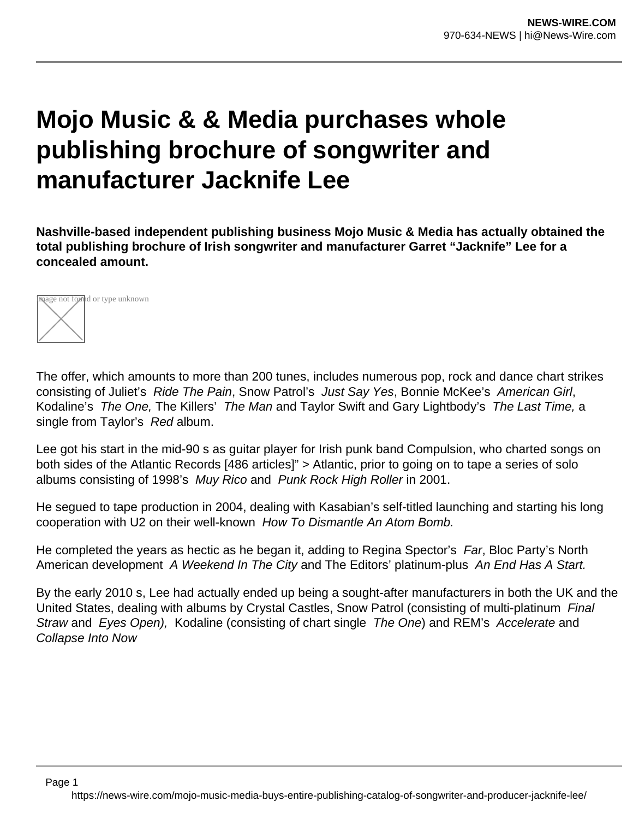## **Mojo Music & & Media purchases whole publishing brochure of songwriter and manufacturer Jacknife Lee**

**Nashville-based independent publishing business Mojo Music & Media has actually obtained the total publishing brochure of Irish songwriter and manufacturer Garret "Jacknife" Lee for a concealed amount.**



Page 1

The offer, which amounts to more than 200 tunes, includes numerous pop, rock and dance chart strikes consisting of Juliet's Ride The Pain, Snow Patrol's Just Say Yes, Bonnie McKee's American Girl, Kodaline's The One, The Killers' The Man and Taylor Swift and Gary Lightbody's The Last Time, a single from Taylor's Red album.

Lee got his start in the mid-90 s as guitar player for Irish punk band Compulsion, who charted songs on both sides of the Atlantic Records [486 articles]" > Atlantic, prior to going on to tape a series of solo albums consisting of 1998's Muy Rico and Punk Rock High Roller in 2001.

He segued to tape production in 2004, dealing with Kasabian's self-titled launching and starting his long cooperation with U2 on their well-known How To Dismantle An Atom Bomb.

He completed the years as hectic as he began it, adding to Regina Spector's Far, Bloc Party's North American development A Weekend In The City and The Editors' platinum-plus An End Has A Start.

By the early 2010 s, Lee had actually ended up being a sought-after manufacturers in both the UK and the United States, dealing with albums by Crystal Castles, Snow Patrol (consisting of multi-platinum Final Straw and Eyes Open), Kodaline (consisting of chart single The One) and REM's Accelerate and Collapse Into Now

https://news-wire.com/mojo-music-media-buys-entire-publishing-catalog-of-songwriter-and-producer-jacknife-lee/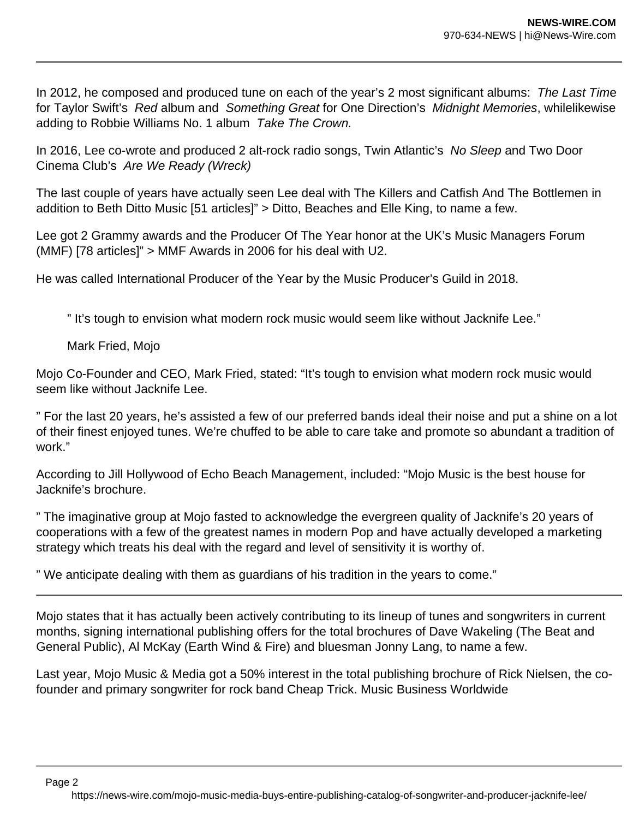In 2012, he composed and produced tune on each of the year's 2 most significant albums: The Last Time for Taylor Swift's Red album and Something Great for One Direction's Midnight Memories, whilelikewise adding to Robbie Williams No. 1 album Take The Crown.

In 2016, Lee co-wrote and produced 2 alt-rock radio songs, Twin Atlantic's No Sleep and Two Door Cinema Club's Are We Ready (Wreck)

The last couple of years have actually seen Lee deal with The Killers and Catfish And The Bottlemen in addition to Beth Ditto Music [51 articles]" > Ditto, Beaches and Elle King, to name a few.

Lee got 2 Grammy awards and the Producer Of The Year honor at the UK's Music Managers Forum (MMF) [78 articles]" > MMF Awards in 2006 for his deal with U2.

He was called International Producer of the Year by the Music Producer's Guild in 2018.

" It's tough to envision what modern rock music would seem like without Jacknife Lee."

Mark Fried, Mojo

Mojo Co-Founder and CEO, Mark Fried, stated: "It's tough to envision what modern rock music would seem like without Jacknife Lee.

" For the last 20 years, he's assisted a few of our preferred bands ideal their noise and put a shine on a lot of their finest enjoyed tunes. We're chuffed to be able to care take and promote so abundant a tradition of work."

According to Jill Hollywood of Echo Beach Management, included: "Mojo Music is the best house for Jacknife's brochure.

" The imaginative group at Mojo fasted to acknowledge the evergreen quality of Jacknife's 20 years of cooperations with a few of the greatest names in modern Pop and have actually developed a marketing strategy which treats his deal with the regard and level of sensitivity it is worthy of.

" We anticipate dealing with them as guardians of his tradition in the years to come."

Mojo states that it has actually been actively contributing to its lineup of tunes and songwriters in current months, signing international publishing offers for the total brochures of Dave Wakeling (The Beat and General Public), Al McKay (Earth Wind & Fire) and bluesman Jonny Lang, to name a few.

Last year, Mojo Music & Media got a 50% interest in the total publishing brochure of Rick Nielsen, the cofounder and primary songwriter for rock band Cheap Trick. Music Business Worldwide

Page 2

https://news-wire.com/mojo-music-media-buys-entire-publishing-catalog-of-songwriter-and-producer-jacknife-lee/